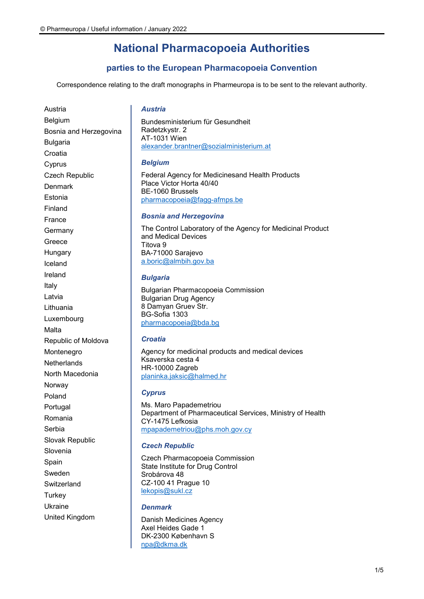# **National Pharmacopoeia Authorities**

## **parties to the European Pharmacopoeia Convention**

Correspondence relating to the draft monographs in Pharmeuropa is to be sent to the relevant authority.

[Austria](#page-0-0) [Belgium](#page-0-1) [Bosnia and Herzegovina](#page-0-2) [Bulgaria](#page-0-3) [Croatia](#page-0-4) [Cyprus](#page-0-5) [Czech Republic](#page-0-6) [Denmark](#page-0-7) [Estonia](#page-1-0) [Finland](#page-1-1) [France](#page-1-2) [Germany](#page-1-3) [Greece](#page-1-4) **[Hungary](#page-1-5)** [Iceland](#page-1-6) [Ireland](#page-1-7) [Italy](#page-2-0) [Latvia](#page-2-1) [Lithuania](#page-2-2) [Luxembourg](#page-2-3) [Malta](#page-2-4) [Republic of Moldova](#page-2-5) [Montenegro](#page-2-6) **[Netherlands](#page-2-7)** [North Macedonia](#page-3-0) [Norway](#page-3-1) [Poland](#page-3-2) [Portugal](#page-3-3) [Romania](#page-3-4) [Serbia](#page-3-5) [Slovak Republic](#page-3-6) [Slovenia](#page-3-7) [Spain](#page-4-0) [Sweden](#page-4-1) **[Switzerland](#page-4-2) [Turkey](#page-4-3)** [Ukraine](#page-4-4) [United Kingdom](#page-4-5)

## <span id="page-0-0"></span>*Austria*

Bundesministerium für Gesundheit Radetzkystr. 2 AT-1031 Wien [alexander.brantner@sozialministerium.at](mailto:alexander.brantner@sozialministerium.at)

## <span id="page-0-1"></span>*Belgium*

Federal Agency for Medicinesand Health Products Place Victor Horta 40/40 BE-1060 Brussels [pharmacopoeia@fagg-afmps.be](mailto:pharmacopoeia@fagg-afmps.be)

## <span id="page-0-2"></span>*Bosnia and Herzegovina*

The Control Laboratory of the Agency for Medicinal Product and Medical Devices Titova 9 BA-71000 Sarajevo [a.boric@almbih.gov.ba](mailto:a.boric@almbih.gov.ba)

## <span id="page-0-3"></span>*Bulgaria*

Bulgarian Pharmacopoeia Commission Bulgarian Drug Agency 8 Damyan Gruev Str. BG-Sofia 1303 [pharmacopoeia@bda.bg](mailto:pharmacopoeia@bda.bg) 

## <span id="page-0-4"></span>*Croatia*

Agency for medicinal products and medical devices Ksaverska cesta 4 HR-10000 Zagreb [planinka.jaksic@halmed.hr](mailto:planinka.jaksic@halmed.hr)

## <span id="page-0-5"></span>*Cyprus*

Ms. Maro Papademetriou Department of Pharmaceutical Services, Ministry of Health CY-1475 Lefkosia [mpapademetriou@phs.moh.gov.cy](mailto:mpapademetriou@phs.moh.gov.cy)

## <span id="page-0-6"></span>*Czech Republic*

Czech Pharmacopoeia Commission State Institute for Drug Control Srobárova 48 CZ-100 41 Prague 10 [lekopis@sukl.cz](mailto:lekopis@sukl.cz)

## <span id="page-0-7"></span>*Denmark*

Danish Medicines Agency Axel Heides Gade 1 DK-2300 København S [npa@dkma.dk](mailto:npa@dkma.dk)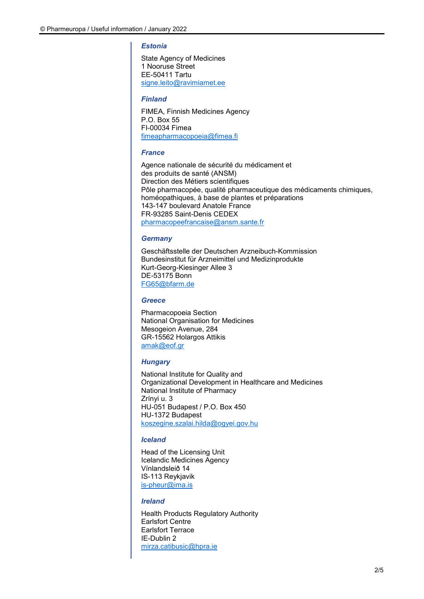#### <span id="page-1-0"></span>*Estonia*

State Agency of Medicines 1 Nooruse Street EE-50411 Tartu [signe.leito@ravimiamet.ee](mailto:signe.leito@ravimiamet.ee)

#### <span id="page-1-1"></span>*Finland*

FIMEA, Finnish Medicines Agency P.O. Box 55 FI-00034 Fimea [fimeapharmacopoeia@fimea.fi](mailto:fimeapharmacopoeia@fimea.fi)

#### <span id="page-1-2"></span>*France*

Agence nationale de sécurité du médicament et des produits de santé (ANSM) Direction des Métiers scientifiques Pôle pharmacopée, qualité pharmaceutique des médicaments chimiques, homéopathiques, à base de plantes et préparations 143-147 boulevard Anatole France FR-93285 Saint-Denis CEDEX [pharmacopeefrancaise@ansm.sante.fr](mailto:pharmacopeefrancaise@ansm.sante.fr)

## <span id="page-1-3"></span>*Germany*

Geschäftsstelle der Deutschen Arzneibuch-Kommission Bundesinstitut für Arzneimittel und Medizinprodukte Kurt-Georg-Kiesinger Allee 3 DE-53175 Bonn [FG65@bfarm.de](mailto:FG65@bfarm.de)

<span id="page-1-4"></span>*Greece*

Pharmacopoeia Section National Organisation for Medicines Mesogeion Avenue, 284 GR-15562 Holargos Attikis [amak@eof.gr](mailto:amak@eof.gr)

## <span id="page-1-5"></span>*Hungary*

National Institute for Quality and Organizational Development in Healthcare and Medicines National Institute of Pharmacy Zrínyi u. 3 HU-051 Budapest / P.O. Box 450 HU-1372 Budapest [koszegine.szalai.hilda@ogyei.gov.hu](mailto:koszegine.szalai.hilda@ogyei.gov.hu)

## <span id="page-1-6"></span>*Iceland*

Head of the Licensing Unit Icelandic Medicines Agency Vínlandsleið 14 IS-113 Reykjavik [is-pheur@ima.is](mailto:is-pheur@ima.is)

## <span id="page-1-7"></span>*Ireland*

Health Products Regulatory Authority Earlsfort Centre Earlsfort Terrace IE-Dublin 2 [mirza.catibusic@hpra.ie](mailto:mirza.catibusic@hpra.ie)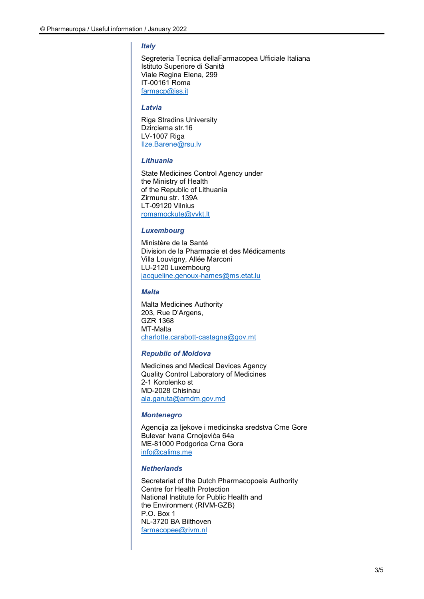#### <span id="page-2-0"></span>*Italy*

Segreteria Tecnica dellaFarmacopea Ufficiale Italiana Istituto Superiore di Sanità Viale Regina Elena, 299 IT-00161 Roma [farmacp@iss.it](mailto:farmacp@iss.it)

#### <span id="page-2-1"></span>*Latvia*

Riga Stradins University Dzirciema str.16 LV-1007 Riga [Ilze.Barene@rsu.lv](mailto:Ilze.Barene@rsu.lv)

#### <span id="page-2-2"></span>*Lithuania*

State Medicines Control Agency under the Ministry of Health of the Republic of Lithuania Zirmunu str. 139A LT-09120 Vilnius [romamockute@vvkt.lt](mailto:romamockute@vvkt.lt)

## <span id="page-2-3"></span>*Luxembourg*

Ministère de la Santé Division de la Pharmacie et des Médicaments Villa Louvigny, Allée Marconi LU-2120 Luxembourg [jacqueline.genoux-hames@ms.etat.lu](mailto:jacqueline.genoux-hames@ms.etat.lu)

## <span id="page-2-4"></span>*Malta*

Malta Medicines Authority 203, Rue D'Argens, GZR 1368 MT-Malta [charlotte.carabott-castagna@gov.mt](mailto:charlotte.carabott-castagna@gov.mt)

#### <span id="page-2-5"></span>*Republic of Moldova*

Medicines and Medical Devices Agency Quality Control Laboratory of Medicines 2-1 Korolenko st MD-2028 Chisinau [ala.garuta@amdm.gov.md](mailto:ala.garuta@amdm.gov.md)

#### <span id="page-2-6"></span>*Montenegro*

Agencija za ljekove i medicinska sredstva Crne Gore Bulevar Ivana Crnojevića 64a ME-81000 Podgorica Crna Gora [info@calims.me](mailto:info@calims.me)

#### <span id="page-2-7"></span>*Netherlands*

Secretariat of the Dutch Pharmacopoeia Authority Centre for Health Protection National Institute for Public Health and the Environment (RIVM-GZB) P.O. Box 1 NL-3720 BA Bilthoven [farmacopee@rivm.nl](mailto:farmacopee@rivm.nl)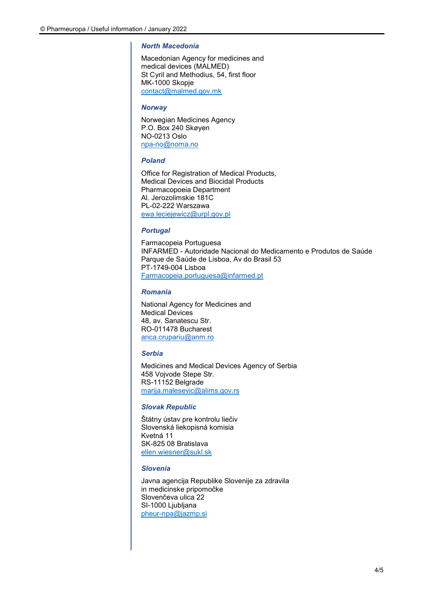#### <span id="page-3-0"></span>*North Macedonia*

Macedonian Agency for medicines and medical devices (MALMED) St Cyril and Methodius, 54, first floor MK-1000 Skopje [contact@malmed.gov.mk](mailto:contact@malmed.gov.mk)

#### <span id="page-3-1"></span>*Norway*

Norwegian Medicines Agency P.O. Box 240 Skøyen NO-0213 Oslo [npa-no@noma.no](mailto:npa-no@noma.no)

#### <span id="page-3-2"></span>*Poland*

Office for Registration of Medical Products, Medical Devices and Biocidal Products Pharmacopoeia Department Al. Jerozolimskie 181C PL-02-222 Warszawa [ewa.leciejewicz@urpl.gov.pl](mailto:ewa.leciejewicz@urpl.gov.pl)

## <span id="page-3-3"></span>*Portugal*

Farmacopeia Portuguesa INFARMED - Autoridade Nacional do Medicamento e Produtos de Saúde Parque de Saúde de Lisboa, Av do Brasil 53 PT-1749-004 Lisboa [Farmacopeia.portuguesa@infarmed.pt](mailto:Farmacopeia.portuguesa@infarmed.pt)

#### <span id="page-3-4"></span>*Romania*

National Agency for Medicines and Medical Devices 48, av. Sanatescu Str. RO-011478 Bucharest [anca.crupariu@anm.ro](mailto:anca.crupariu@anm.ro)

## <span id="page-3-5"></span>*Serbia*

Medicines and Medical Devices Agency of Serbia 458 Vojvode Stepe Str. RS-11152 Belgrade [marija.malesevic@alims.gov.rs](mailto:marija.malesevic@alims.gov.rs)

#### <span id="page-3-6"></span>*Slovak Republic*

Štátny ústav pre kontrolu liečiv Slovenská liekopisná komisia Kvetná 11 SK-825 08 Bratislava [ellen.wiesner@sukl.sk](mailto:ellen.wiesner@sukl.sk)

## <span id="page-3-7"></span>*Slovenia*

Javna agencija Republike Slovenije za zdravila in medicinske pripomočke Slovenčeva ulica 22 SI-1000 Ljubljana [pheur-npa@jazmp.si](mailto:pheur-npa@jazmp.si)